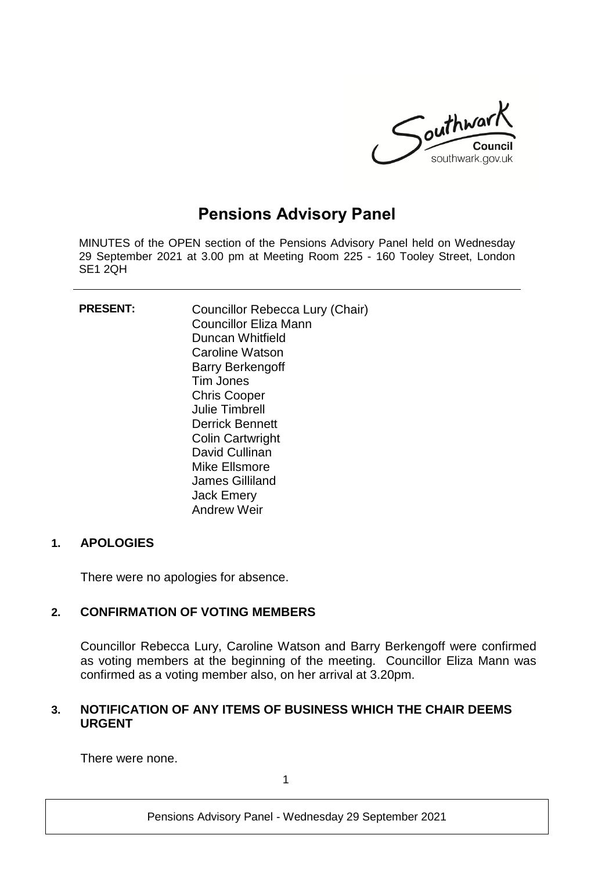

# **Pensions Advisory Panel**

MINUTES of the OPEN section of the Pensions Advisory Panel held on Wednesday 29 September 2021 at 3.00 pm at Meeting Room 225 - 160 Tooley Street, London SE1 2QH

| <b>PRESENT:</b> | Councillor Rebecca Lury (Chair)<br>Councillor Eliza Mann<br>Duncan Whitfield<br>Caroline Watson<br><b>Barry Berkengoff</b><br>Tim Jones<br><b>Chris Cooper</b><br><b>Julie Timbrell</b><br><b>Derrick Bennett</b><br><b>Colin Cartwright</b><br>David Cullinan<br>Mike Ellsmore<br>James Gilliland<br><b>Jack Emery</b><br><b>Andrew Weir</b> |
|-----------------|-----------------------------------------------------------------------------------------------------------------------------------------------------------------------------------------------------------------------------------------------------------------------------------------------------------------------------------------------|
|                 |                                                                                                                                                                                                                                                                                                                                               |

## **1. APOLOGIES**

There were no apologies for absence.

## **2. CONFIRMATION OF VOTING MEMBERS**

Councillor Rebecca Lury, Caroline Watson and Barry Berkengoff were confirmed as voting members at the beginning of the meeting. Councillor Eliza Mann was confirmed as a voting member also, on her arrival at 3.20pm.

# **3. NOTIFICATION OF ANY ITEMS OF BUSINESS WHICH THE CHAIR DEEMS URGENT**

There were none.

1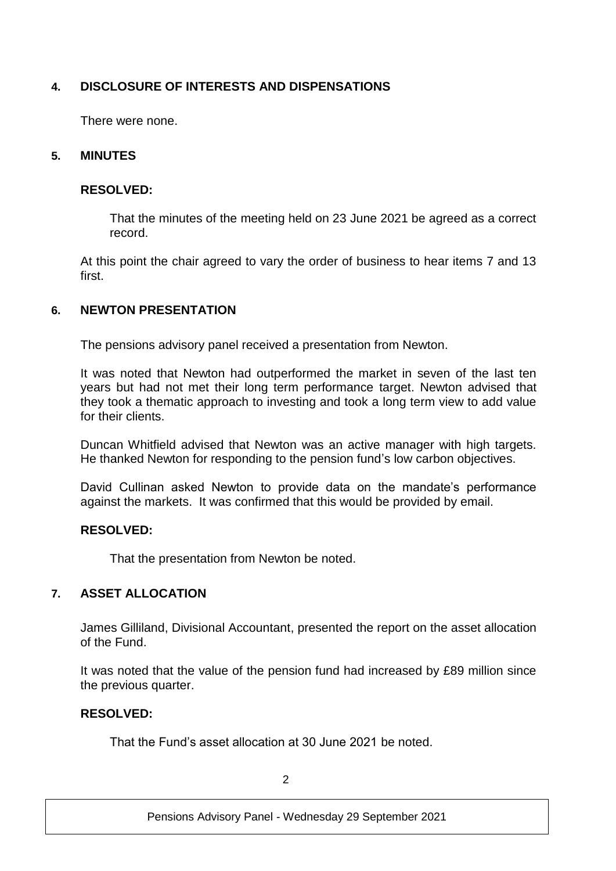# **4. DISCLOSURE OF INTERESTS AND DISPENSATIONS**

There were none.

## **5. MINUTES**

## **RESOLVED:**

That the minutes of the meeting held on 23 June 2021 be agreed as a correct record.

At this point the chair agreed to vary the order of business to hear items 7 and 13 first.

## **6. NEWTON PRESENTATION**

The pensions advisory panel received a presentation from Newton.

It was noted that Newton had outperformed the market in seven of the last ten years but had not met their long term performance target. Newton advised that they took a thematic approach to investing and took a long term view to add value for their clients.

Duncan Whitfield advised that Newton was an active manager with high targets. He thanked Newton for responding to the pension fund's low carbon objectives.

David Cullinan asked Newton to provide data on the mandate's performance against the markets. It was confirmed that this would be provided by email.

## **RESOLVED:**

That the presentation from Newton be noted.

## **7. ASSET ALLOCATION**

James Gilliland, Divisional Accountant, presented the report on the asset allocation of the Fund.

It was noted that the value of the pension fund had increased by £89 million since the previous quarter.

## **RESOLVED:**

That the Fund's asset allocation at 30 June 2021 be noted.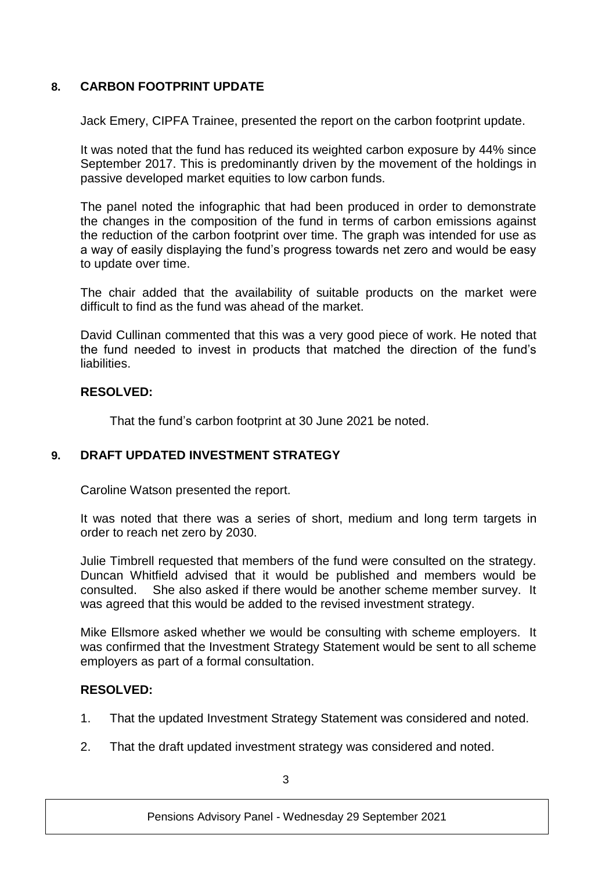# **8. CARBON FOOTPRINT UPDATE**

Jack Emery, CIPFA Trainee, presented the report on the carbon footprint update.

It was noted that the fund has reduced its weighted carbon exposure by 44% since September 2017. This is predominantly driven by the movement of the holdings in passive developed market equities to low carbon funds.

The panel noted the infographic that had been produced in order to demonstrate the changes in the composition of the fund in terms of carbon emissions against the reduction of the carbon footprint over time. The graph was intended for use as a way of easily displaying the fund's progress towards net zero and would be easy to update over time.

The chair added that the availability of suitable products on the market were difficult to find as the fund was ahead of the market.

David Cullinan commented that this was a very good piece of work. He noted that the fund needed to invest in products that matched the direction of the fund's liabilities.

## **RESOLVED:**

That the fund's carbon footprint at 30 June 2021 be noted.

## **9. DRAFT UPDATED INVESTMENT STRATEGY**

Caroline Watson presented the report.

It was noted that there was a series of short, medium and long term targets in order to reach net zero by 2030.

Julie Timbrell requested that members of the fund were consulted on the strategy. Duncan Whitfield advised that it would be published and members would be consulted. She also asked if there would be another scheme member survey. It was agreed that this would be added to the revised investment strategy.

Mike Ellsmore asked whether we would be consulting with scheme employers. It was confirmed that the Investment Strategy Statement would be sent to all scheme employers as part of a formal consultation.

## **RESOLVED:**

- 1. That the updated Investment Strategy Statement was considered and noted.
- 2. That the draft updated investment strategy was considered and noted.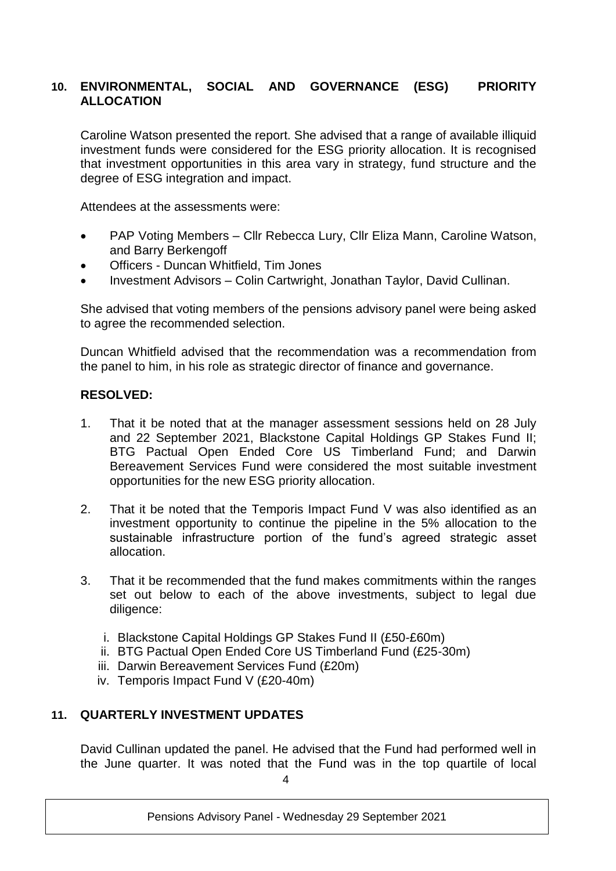# **10. ENVIRONMENTAL, SOCIAL AND GOVERNANCE (ESG) PRIORITY ALLOCATION**

Caroline Watson presented the report. She advised that a range of available illiquid investment funds were considered for the ESG priority allocation. It is recognised that investment opportunities in this area vary in strategy, fund structure and the degree of ESG integration and impact.

Attendees at the assessments were:

- PAP Voting Members Cllr Rebecca Lury, Cllr Eliza Mann, Caroline Watson, and Barry Berkengoff
- Officers Duncan Whitfield, Tim Jones
- Investment Advisors Colin Cartwright, Jonathan Taylor, David Cullinan.

She advised that voting members of the pensions advisory panel were being asked to agree the recommended selection.

Duncan Whitfield advised that the recommendation was a recommendation from the panel to him, in his role as strategic director of finance and governance.

## **RESOLVED:**

- 1. That it be noted that at the manager assessment sessions held on 28 July and 22 September 2021, Blackstone Capital Holdings GP Stakes Fund II; BTG Pactual Open Ended Core US Timberland Fund; and Darwin Bereavement Services Fund were considered the most suitable investment opportunities for the new ESG priority allocation.
- 2. That it be noted that the Temporis Impact Fund V was also identified as an investment opportunity to continue the pipeline in the 5% allocation to the sustainable infrastructure portion of the fund's agreed strategic asset allocation.
- 3. That it be recommended that the fund makes commitments within the ranges set out below to each of the above investments, subject to legal due diligence:
	- i. Blackstone Capital Holdings GP Stakes Fund II (£50-£60m)
	- ii. BTG Pactual Open Ended Core US Timberland Fund (£25-30m)
	- iii. Darwin Bereavement Services Fund (£20m)
	- iv. Temporis Impact Fund V (£20-40m)

## **11. QUARTERLY INVESTMENT UPDATES**

David Cullinan updated the panel. He advised that the Fund had performed well in the June quarter. It was noted that the Fund was in the top quartile of local

 $\Delta$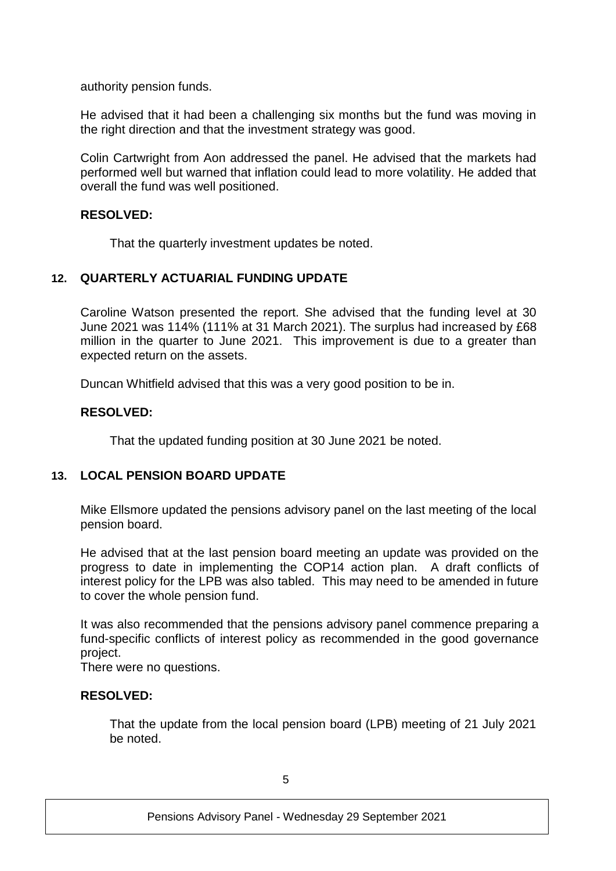authority pension funds.

He advised that it had been a challenging six months but the fund was moving in the right direction and that the investment strategy was good.

Colin Cartwright from Aon addressed the panel. He advised that the markets had performed well but warned that inflation could lead to more volatility. He added that overall the fund was well positioned.

## **RESOLVED:**

That the quarterly investment updates be noted.

## **12. QUARTERLY ACTUARIAL FUNDING UPDATE**

Caroline Watson presented the report. She advised that the funding level at 30 June 2021 was 114% (111% at 31 March 2021). The surplus had increased by £68 million in the quarter to June 2021. This improvement is due to a greater than expected return on the assets.

Duncan Whitfield advised that this was a very good position to be in.

## **RESOLVED:**

That the updated funding position at 30 June 2021 be noted.

## **13. LOCAL PENSION BOARD UPDATE**

Mike Ellsmore updated the pensions advisory panel on the last meeting of the local pension board.

He advised that at the last pension board meeting an update was provided on the progress to date in implementing the COP14 action plan. A draft conflicts of interest policy for the LPB was also tabled. This may need to be amended in future to cover the whole pension fund.

It was also recommended that the pensions advisory panel commence preparing a fund-specific conflicts of interest policy as recommended in the good governance project.

There were no questions.

## **RESOLVED:**

That the update from the local pension board (LPB) meeting of 21 July 2021 be noted.